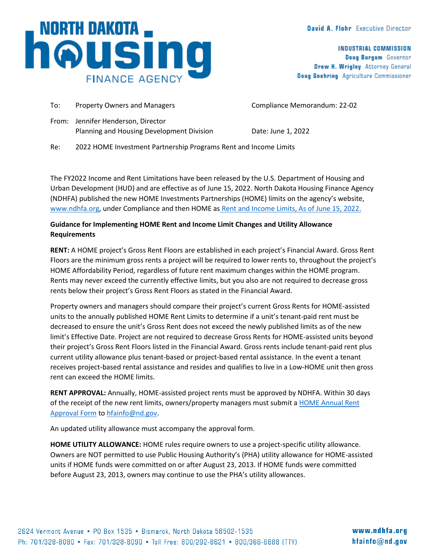## David A. Flohr Executive Director

**INDUSTRIAL COMMISSION** Doug Burgum Governor Drew H. Wrigley Attorney General Doug Goehring Agriculture Commissioner

| , NORTH DAKOTA                   |  |
|----------------------------------|--|
| <b>NOUSING</b><br>FINANCE AGENCY |  |

| To: | <b>Property Owners and Managers</b>                                             | Compliance Memorandum: 22-02 |
|-----|---------------------------------------------------------------------------------|------------------------------|
|     | From: Jennifer Henderson, Director<br>Planning and Housing Development Division | Date: June 1, 2022           |
| Re: | 2022 HOME Investment Partnership Programs Rent and Income Limits                |                              |

The FY2022 Income and Rent Limitations have been released by the U.S. Department of Housing and Urban Development (HUD) and are effective as of June 15, 2022. North Dakota Housing Finance Agency (NDHFA) published the new HOME Investments Partnerships (HOME) limits on the agency's website, [www.ndhfa.org,](http://www.ndhfa.org/) under Compliance and then HOME as [Rent and Income Limits, As of June 15, 2022.](https://www.ndhfa.org/wp-content/uploads/2022/05/HOMELimits06.15.2022.pdf)

## **Guidance for Implementing HOME Rent and Income Limit Changes and Utility Allowance Requirements**

**RENT:** A HOME project's Gross Rent Floors are established in each project's Financial Award. Gross Rent Floors are the minimum gross rents a project will be required to lower rents to, throughout the project's HOME Affordability Period, regardless of future rent maximum changes within the HOME program. Rents may never exceed the currently effective limits, but you also are not required to decrease gross rents below their project's Gross Rent Floors as stated in the Financial Award.

Property owners and managers should compare their project's current Gross Rents for HOME-assisted units to the annually published HOME Rent Limits to determine if a unit's tenant-paid rent must be decreased to ensure the unit's Gross Rent does not exceed the newly published limits as of the new limit's Effective Date. Project are not required to decrease Gross Rents for HOME-assisted units beyond their project's Gross Rent Floors listed in the Financial Award. Gross rents include tenant-paid rent plus current utility allowance plus tenant-based or project-based rental assistance. In the event a tenant receives project-based rental assistance and resides and qualifies to live in a Low-HOME unit then gross rent can exceed the HOME limits.

**RENT APPROVAL:** Annually, HOME-assisted project rents must be approved by NDHFA. Within 30 days of the receipt of the new rent limits, owners/property managers must submit a [HOME Annual Rent](https://www.ndhfa.org/wp-content/uploads/2022/03/HOMEAnnualRentApproval.pdf)  [Approval Form](https://www.ndhfa.org/wp-content/uploads/2022/03/HOMEAnnualRentApproval.pdf) t[o hfainfo@nd.gov.](mailto:hfainfo@nd.gov)

An updated utility allowance must accompany the approval form.

**HOME UTILITY ALLOWANCE:** HOME rules require owners to use a project-specific utility allowance. Owners are NOT permitted to use Public Housing Authority's (PHA) utility allowance for HOME-assisted units if HOME funds were committed on or after August 23, 2013. If HOME funds were committed before August 23, 2013, owners may continue to use the PHA's utility allowances.